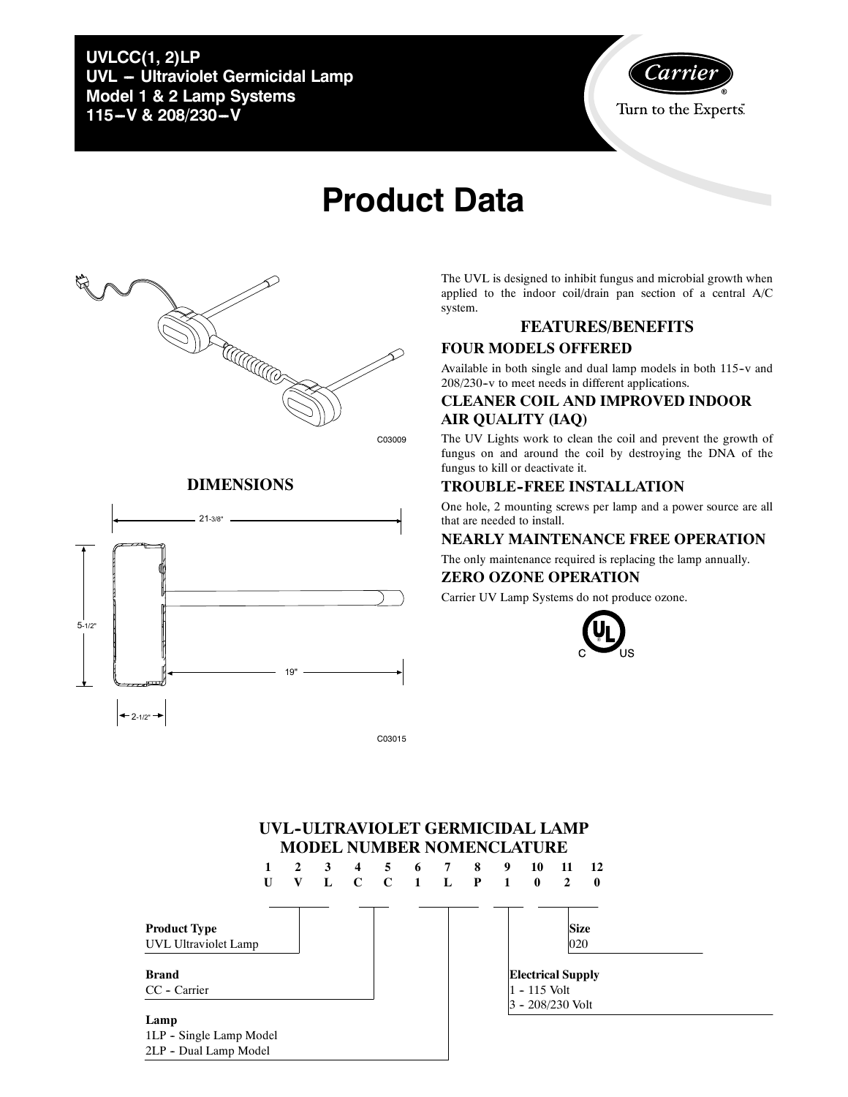**UVLCC(1, 2)LP UVL - Ultraviolet Germicidal Lamp Model 1 & 2 Lamp Systems** 115-V & 208/230-V



# **Product Data**



C03009

#### **DIMENSIONS**



C03015

The UVL is designed to inhibit fungus and microbial growth when applied to the indoor coil/drain pan section of a central A/C system.

## **FEATURES/BENEFITS**

#### **FOUR MODELS OFFERED**

Available in both single and dual lamp models in both 115-v and 208/230-v to meet needs in different applications.

#### **CLEANER COIL AND IMPROVED INDOOR AIR QUALITY (IAQ)**

The UV Lights work to clean the coil and prevent the growth of fungus on and around the coil by destroying the DNA of the fungus to kill or deactivate it.

#### **TROUBLE--FREE INSTALLATION**

One hole, 2 mounting screws per lamp and a power source are all that are needed to install.

#### **NEARLY MAINTENANCE FREE OPERATION**

The only maintenance required is replacing the lamp annually.

#### **ZERO OZONE OPERATION**

Carrier UV Lamp Systems do not produce ozone.



### UVL-ULTRAVIOLET GERMICIDAL LAMP **MODEL NUMBER NOMENCLATURE**

|                         | 1 | 2 | $\mathbf{3}$ | 4           | $5^{\circ}$ | 6 7   | 8 | 9              | 10                       | 11             | - 12     |  |
|-------------------------|---|---|--------------|-------------|-------------|-------|---|----------------|--------------------------|----------------|----------|--|
|                         | U | V | L            | $\mathbf C$ | $\bf C$     | 1 L P |   | $\blacksquare$ | $\bf{0}$                 | $\overline{2}$ | $\bf{0}$ |  |
|                         |   |   |              |             |             |       |   |                |                          |                |          |  |
| <b>Product Type</b>     |   |   |              |             |             |       |   |                |                          | <b>Size</b>    |          |  |
| UVL Ultraviolet Lamp    |   |   |              |             |             |       |   |                |                          | 020            |          |  |
|                         |   |   |              |             |             |       |   |                |                          |                |          |  |
| <b>Brand</b>            |   |   |              |             |             |       |   |                | <b>Electrical Supply</b> |                |          |  |
| CC - Carrier            |   |   |              |             |             |       |   |                | 1 - 115 Volt             |                |          |  |
|                         |   |   |              |             |             |       |   |                | $3 - 208/230$ Volt       |                |          |  |
| Lamp                    |   |   |              |             |             |       |   |                |                          |                |          |  |
| 1LP - Single Lamp Model |   |   |              |             |             |       |   |                |                          |                |          |  |
| 2LP - Dual Lamp Model   |   |   |              |             |             |       |   |                |                          |                |          |  |